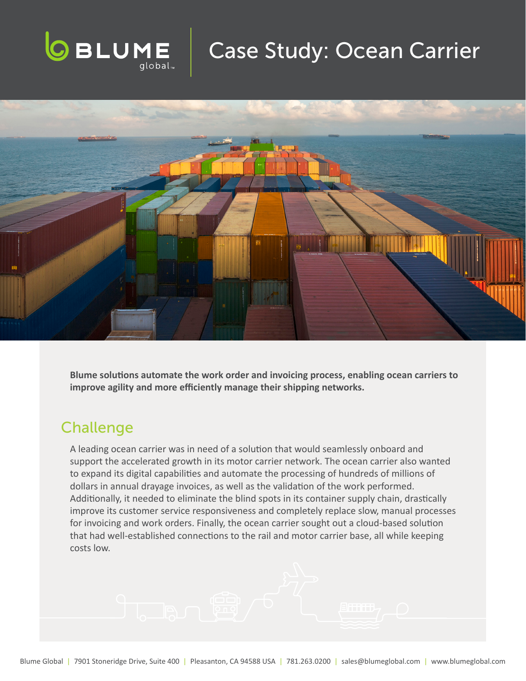

## Case Study: Ocean Carrier



**Blume solutions automate the work order and invoicing process, enabling ocean carriers to improve agility and more efficiently manage their shipping networks.** 

## **Challenge**

A leading ocean carrier was in need of a solution that would seamlessly onboard and support the accelerated growth in its motor carrier network. The ocean carrier also wanted to expand its digital capabilities and automate the processing of hundreds of millions of dollars in annual drayage invoices, as well as the validation of the work performed. Additionally, it needed to eliminate the blind spots in its container supply chain, drastically improve its customer service responsiveness and completely replace slow, manual processes for invoicing and work orders. Finally, the ocean carrier sought out a cloud-based solution that had well-established connections to the rail and motor carrier base, all while keeping costs low.